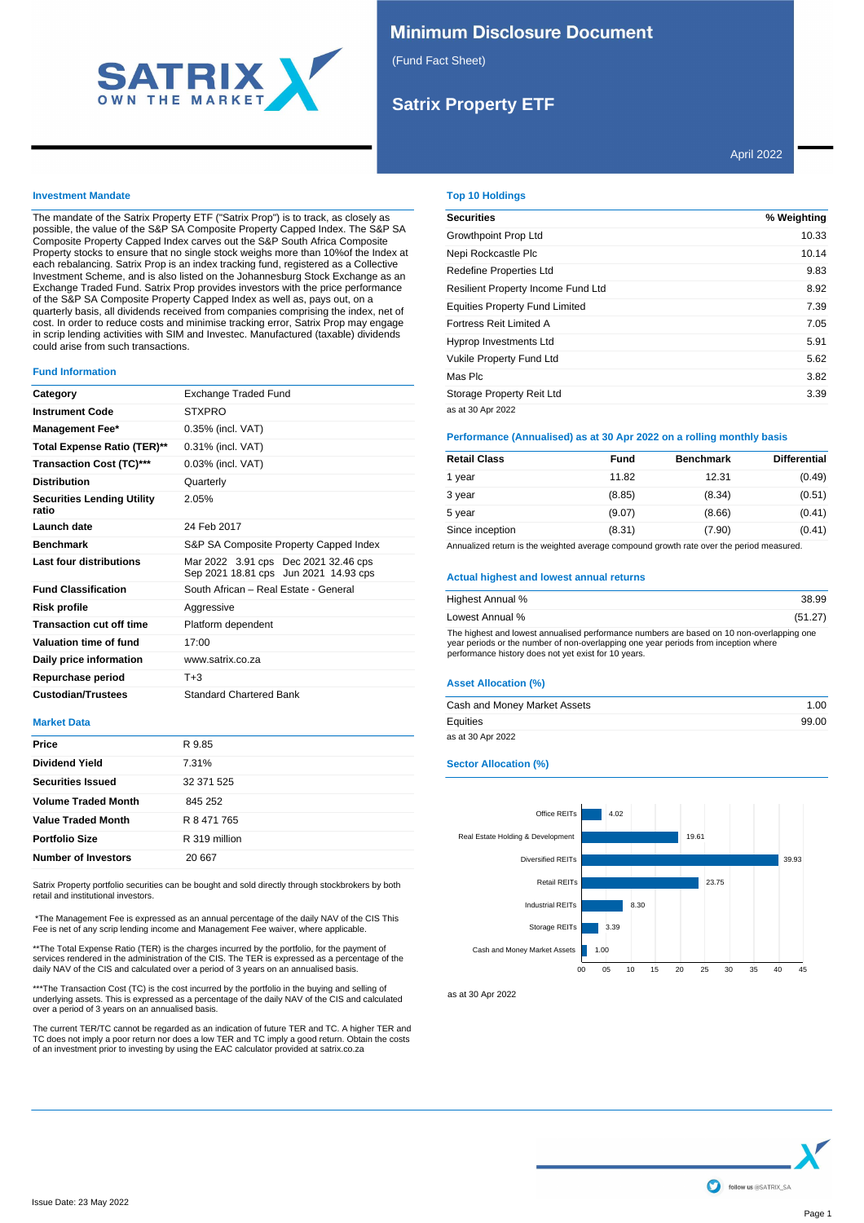

## **Minimum Disclosure Document**

(Fund Fact Sheet)

# **Satrix Property ETF**

### **Investment Mandate**

The mandate of the Satrix Property ETF ("Satrix Prop") is to track, as closely as possible, the value of the S&P SA Composite Property Capped Index. The S&P SA Composite Property Capped Index carves out the S&P South Africa Composite Property stocks to ensure that no single stock weighs more than 10%of the Index at each rebalancing. Satrix Prop is an index tracking fund, registered as a Collective Investment Scheme, and is also listed on the Johannesburg Stock Exchange as an Exchange Traded Fund. Satrix Prop provides investors with the price performance of the S&P SA Composite Property Capped Index as well as, pays out, on a quarterly basis, all dividends received from companies comprising the index, net of cost. In order to reduce costs and minimise tracking error, Satrix Prop may engage in scrip lending activities with SIM and Investec. Manufactured (taxable) dividends could arise from such transactions.

### **Fund Information**

| Exchange Traded Fund                                                          |
|-------------------------------------------------------------------------------|
| <b>STXPRO</b>                                                                 |
| 0.35% (incl. VAT)                                                             |
| 0.31% (incl. VAT)                                                             |
| 0.03% (incl. VAT)                                                             |
| Quarterly                                                                     |
| 2.05%                                                                         |
| 24 Feb 2017                                                                   |
| S&P SA Composite Property Capped Index                                        |
| Mar 2022 3.91 cps Dec 2021 32.46 cps<br>Sep 2021 18.81 cps Jun 2021 14.93 cps |
| South African - Real Estate - General                                         |
| Aggressive                                                                    |
| Platform dependent                                                            |
| 17:00                                                                         |
| www.satrix.co.za                                                              |
| $T + 3$                                                                       |
| <b>Standard Chartered Bank</b>                                                |
|                                                                               |

### **Market Data**

| Price                      | R 9.85        |
|----------------------------|---------------|
| <b>Dividend Yield</b>      | 7.31%         |
| <b>Securities Issued</b>   | 32 371 525    |
| <b>Volume Traded Month</b> | 845 252       |
| <b>Value Traded Month</b>  | R 8 471 765   |
| <b>Portfolio Size</b>      | R 319 million |
| <b>Number of Investors</b> | 20 667        |

Satrix Property portfolio securities can be bought and sold directly through stockbrokers by both retail and institutional investors.

\*The Management Fee is expressed as an annual percentage of the daily NAV of the CIS This Fee is net of any scrip lending income and Management Fee waiver, where applicable.

\*\*The Total Expense Ratio (TER) is the charges incurred by the portfolio, for the payment of services rendered in the administration of the CIS. The TER is expressed as a percentage of the daily NAV of the CIS and calculated over a period of 3 years on an annualised basis

\*\*\*The Transaction Cost (TC) is the cost incurred by the portfolio in the buying and selling of underlying assets. This is expressed as a percentage of the daily NAV of the CIS and calculated over a period of 3 years on an annualised basis.

The current TER/TC cannot be regarded as an indication of future TER and TC. A higher TER and<br>TC does not imply a poor return nor does a low TER and TC imply a good return. Obtain the costs<br>of an investment prior to invest

## **Top 10 Holdings**

| <b>Securities</b>                     | % Weighting |
|---------------------------------------|-------------|
| Growthpoint Prop Ltd                  | 10.33       |
| Nepi Rockcastle Plc                   | 10.14       |
| <b>Redefine Properties Ltd</b>        | 9.83        |
| Resilient Property Income Fund Ltd    | 8.92        |
| <b>Equities Property Fund Limited</b> | 7.39        |
| Fortress Reit Limited A               | 7.05        |
| <b>Hyprop Investments Ltd</b>         | 5.91        |
| <b>Vukile Property Fund Ltd</b>       | 5.62        |
| Mas Plc                               | 3.82        |
| Storage Property Reit Ltd             | 3.39        |
| as at 30 Apr 2022                     |             |

## **Performance (Annualised) as at 30 Apr 2022 on a rolling monthly basis**

| <b>Retail Class</b> | Fund   | <b>Benchmark</b> | <b>Differential</b> |
|---------------------|--------|------------------|---------------------|
| 1 year              | 11.82  | 12.31            | (0.49)              |
| 3 year              | (8.85) | (8.34)           | (0.51)              |
| 5 year              | (9.07) | (8.66)           | (0.41)              |
| Since inception     | (8.31) | (7.90)           | (0.41)              |

Annualized return is the weighted average compound growth rate over the period measured.

#### **Actual highest and lowest annual returns**

| Highest Annual %                                                                                                                                                                                                                         | 38.99   |
|------------------------------------------------------------------------------------------------------------------------------------------------------------------------------------------------------------------------------------------|---------|
| Lowest Annual %                                                                                                                                                                                                                          | (51.27) |
| The highest and lowest annualised performance numbers are based on 10 non-overlapping one<br>year periods or the number of non-overlapping one year periods from inception where<br>performance history does not yet exist for 10 years. |         |

### **Asset Allocation (%)**

| Cash and Money Market Assets | 1.00  |
|------------------------------|-------|
| Equities                     | 99.00 |
| as at 30 Apr 2022            |       |

#### **Sector Allocation (%)**



as at 30 Apr 2022